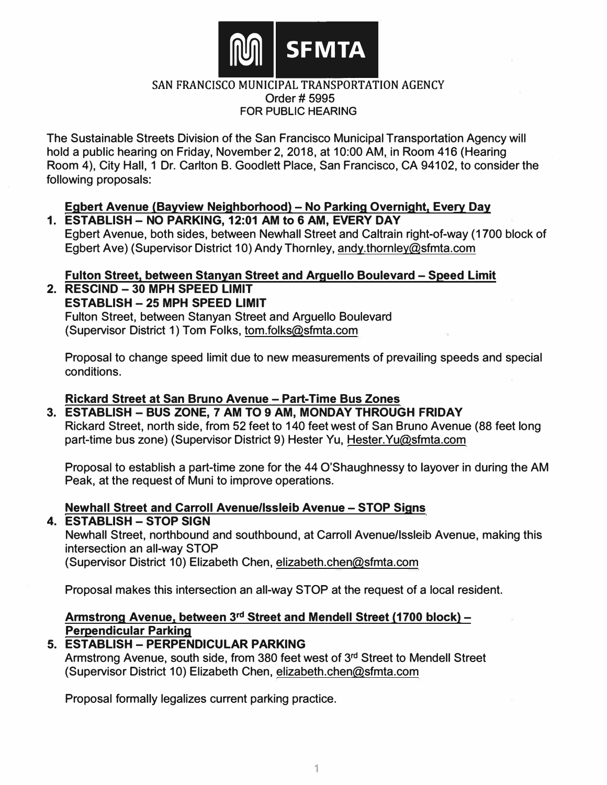

The Sustainable Streets Division of the San Francisco Municipal Transportation Agency will hold a public hearing on Friday, November 2, 2018, at 10:00 AM, in Room 416 (Hearing Room 4), City Hall, 1 Dr. Carlton B. Goodlett Place, San Francisco, CA 94102, to consider the following proposals:

## **Egbert Avenue (Bayview Neighborhood) - No Parking Overnight, Every Day**

**1. ESTABLISH-NO PARKING, 12:01 AM to 6 AM, EVERY DAY** Egbert Avenue, both sides, between Newhall Street and Caltrain right-of-way (1700 block of Egbert Ave) (Supervisor District 10) Andy Thornley, andy.thornley@sfmta.com

## **Fulton Street, between Stanyan Street and Arguello Boulevard -Speed Limit**

### **2. RESCIND -30 MPH SPEED LIMIT ESTABLISH -25 MPH SPEED LIMIT** Fulton Street, between Stanyan Street and Arguello Boulevard (Supervisor District 1) Tom Folks, tom.folks@sfmta.com

Proposal to change speed limit due to new measurements of prevailing speeds and special conditions.

### **Rickard Street at San Bruno Avenue - Part-Time Bus Zones**

#### **3. ESTABLISH -BUS ZONE, 7 AM TO 9 AM, MONDAY THROUGH FRIDAY** Rickard Street, north side, from 52 feet to 140 feet west of San Bruno Avenue (88 feet long

part-time bus zone) (Supervisor District 9) Hester Yu, Hester.Yu@sfmta.com

Proposal to establish a part-time zone for the 44 O'Shaughnessy to layover in during the AM Peak, at the request of Muni to improve operations.

### **Newhall Street and Carroll Avenue/lssleib Avenue -STOP Signs**

### **4. ESTABLISH -STOP SIGN**

Newhall Street, northbound and southbound, at Carroll Avenue/lssleib Avenue, making this intersection an all-way STOP

(Supervisor District 10) Elizabeth Chen, elizabeth.chen@sfmta.com

Proposal makes this intersection an all-way STOP at the request of a local resident.

### **Armstrong Avenue, between 3 rd Street and Mendell Street (1700 block) - Perpendicular Parking**

## **5. ESTABLISH-PERPENDICULAR PARKING**

Armstrong Avenue, south side, from 380 feet west of 3 **rd** Street to Mendell Street (Supervisor District 10) Elizabeth Chen, elizabeth.chen@sfmta.com

Proposal formally legalizes current parking practice.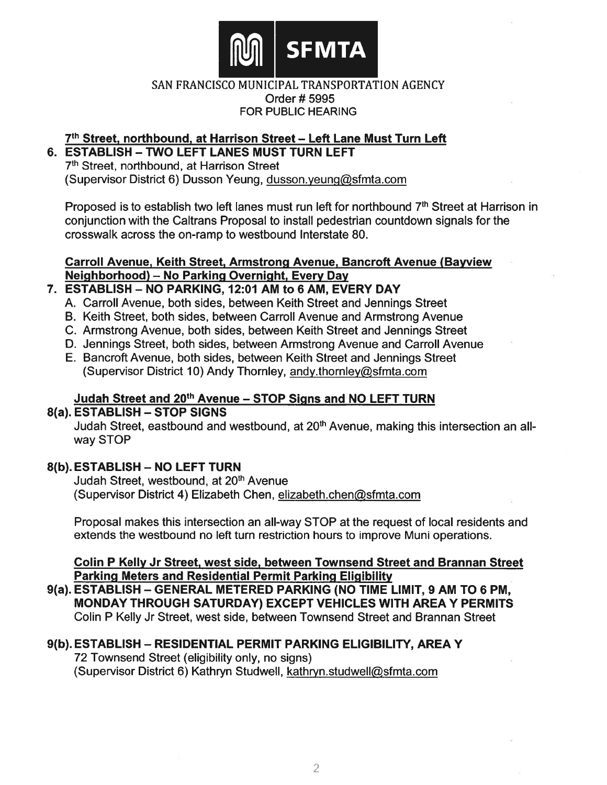

# 7th Street, northbound, at Harrison Street - Left Lane Must Turn Left

### 6. ESTABLISH - TWO LEFT LANES MUST TURN LEFT 7<sup>th</sup> Street, northbound, at Harrison Street (Supervisor District 6) Dusson Yeung, dusson.yeung@sfmta.com

Proposed is to establish two left lanes must run left for northbound 7<sup>th</sup> Street at Harrison in conjunction with the Caltrans Proposal to install pedestrian countdown signals for the crosswalk across the on-ramp to westbound Interstate 80.

## Carroll Avenue, Keith Street, Armstrong Avenue, Bancroft Avenue (Bayview Neighborhood) - No Parking Overnight, Every Day

- 7. ESTABLISH NO PARKING, 12:01 AM to 6 AM, EVERY DAY
	- A. Carroll Avenue, both sides, between Keith Street and Jennings Street
	- B. Keith Street, both sides, between Carroll Avenue and Armstrong Avenue
	- C. Armstrong Avenue, both sides, between Keith Street and Jennings Street
	- D. Jennings Street, both sides, between Armstrong Avenue and Carroll Avenue
	- E. Bancroft Avenue, both sides, between Keith Street and Jennings Street (Supervisor District 10) Andy Thornley, andy thornley@sfmta.com

## Judah Street and 20th Avenue - STOP Signs and NO LEFT TURN

## 8(a), ESTABLISH - STOP SIGNS

Judah Street, eastbound and westbound, at 20<sup>th</sup> Avenue, making this intersection an allway STOP

## 8(b). ESTABLISH - NO LEFT TURN

Judah Street, westbound, at 20<sup>th</sup> Avenue (Supervisor District 4) Elizabeth Chen, elizabeth.chen@sfmta.com

Proposal makes this intersection an all-way STOP at the request of local residents and extends the westbound no left turn restriction hours to improve Muni operations.

### Colin P Kelly Jr Street, west side, between Townsend Street and Brannan Street Parking Meters and Residential Permit Parking Eligibility

9(a). ESTABLISH - GENERAL METERED PARKING (NO TIME LIMIT, 9 AM TO 6 PM, **MONDAY THROUGH SATURDAY) EXCEPT VEHICLES WITH AREA Y PERMITS** Colin P Kelly Jr Street, west side, between Townsend Street and Brannan Street

## 9(b). ESTABLISH - RESIDENTIAL PERMIT PARKING ELIGIBILITY, AREA Y

72 Townsend Street (eligibility only, no signs) (Supervisor District 6) Kathryn Studwell, kathryn.studwell@sfmta.com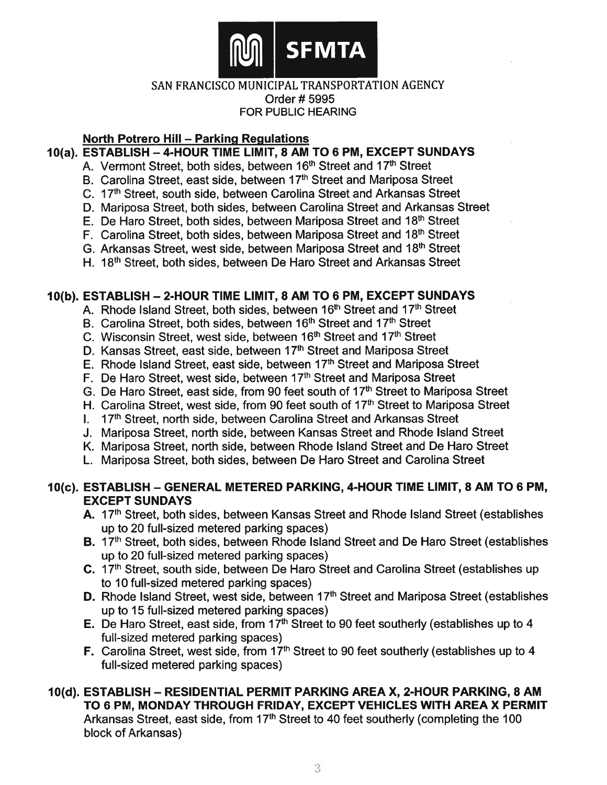

## **North Potrero Hill - Parking Regulations**

## 10(a). ESTABLISH - 4-HOUR TIME LIMIT, 8 AM TO 6 PM, EXCEPT SUNDAYS

- A. Vermont Street, both sides, between 16<sup>th</sup> Street and 17<sup>th</sup> Street
- B. Carolina Street, east side, between 17th Street and Mariposa Street
- C. 17th Street, south side, between Carolina Street and Arkansas Street
- D. Mariposa Street, both sides, between Carolina Street and Arkansas Street
- E. De Haro Street, both sides, between Mariposa Street and 18th Street
- F. Carolina Street, both sides, between Mariposa Street and 18th Street
- G. Arkansas Street, west side, between Mariposa Street and 18th Street
- H. 18<sup>th</sup> Street, both sides, between De Haro Street and Arkansas Street

### 10(b). ESTABLISH - 2-HOUR TIME LIMIT, 8 AM TO 6 PM, EXCEPT SUNDAYS

- A. Rhode Island Street, both sides, between 16<sup>th</sup> Street and 17<sup>th</sup> Street
- B. Carolina Street, both sides, between 16<sup>th</sup> Street and 17<sup>th</sup> Street
- C. Wisconsin Street, west side, between 16th Street and 17th Street
- D. Kansas Street, east side, between 17th Street and Mariposa Street
- E. Rhode Island Street, east side, between 17th Street and Mariposa Street
- F. De Haro Street, west side, between 17th Street and Mariposa Street
- G. De Haro Street, east side, from 90 feet south of 17<sup>th</sup> Street to Mariposa Street
- H. Carolina Street, west side, from 90 feet south of 17<sup>th</sup> Street to Mariposa Street
- I. 17th Street, north side, between Carolina Street and Arkansas Street
- J. Mariposa Street, north side, between Kansas Street and Rhode Island Street
- K. Mariposa Street, north side, between Rhode Island Street and De Haro Street
- L. Mariposa Street, both sides, between De Haro Street and Carolina Street

### 10(c). ESTABLISH - GENERAL METERED PARKING, 4-HOUR TIME LIMIT, 8 AM TO 6 PM, **EXCEPT SUNDAYS**

- A. 17<sup>th</sup> Street, both sides, between Kansas Street and Rhode Island Street (establishes up to 20 full-sized metered parking spaces)
- B. 17th Street, both sides, between Rhode Island Street and De Haro Street (establishes up to 20 full-sized metered parking spaces)
- C. 17th Street, south side, between De Haro Street and Carolina Street (establishes up to 10 full-sized metered parking spaces)
- D. Rhode Island Street, west side, between 17<sup>th</sup> Street and Mariposa Street (establishes up to 15 full-sized metered parking spaces)
- **E.** De Haro Street, east side, from  $17<sup>th</sup>$  Street to 90 feet southerly (establishes up to 4 full-sized metered parking spaces)
- F. Carolina Street, west side, from 17<sup>th</sup> Street to 90 feet southerly (establishes up to 4 full-sized metered parking spaces)

## 10(d). ESTABLISH - RESIDENTIAL PERMIT PARKING AREA X, 2-HOUR PARKING, 8 AM TO 6 PM, MONDAY THROUGH FRIDAY, EXCEPT VEHICLES WITH AREA X PERMIT Arkansas Street, east side, from 17<sup>th</sup> Street to 40 feet southerly (completing the 100 block of Arkansas)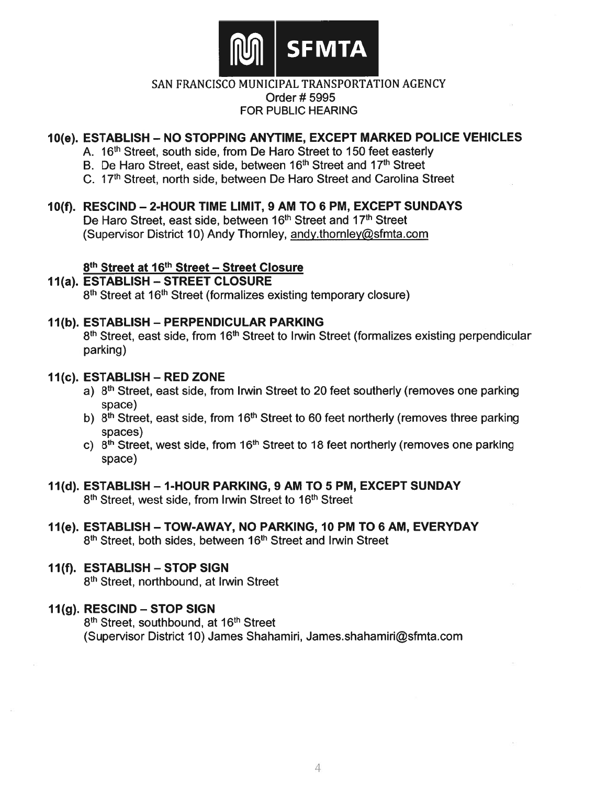

## 10(e). ESTABLISH - NO STOPPING ANYTIME, EXCEPT MARKED POLICE VEHICLES

- A. 16<sup>th</sup> Street, south side, from De Haro Street to 150 feet easterly
- B. De Haro Street, east side, between 16<sup>th</sup> Street and 17<sup>th</sup> Street
- C. 17th Street, north side, between De Haro Street and Carolina Street

### 10(f). RESCIND - 2-HOUR TIME LIMIT, 9 AM TO 6 PM, EXCEPT SUNDAYS

De Haro Street, east side, between 16<sup>th</sup> Street and 17<sup>th</sup> Street (Supervisor District 10) Andy Thornley, andy thornley@sfmta.com

### 8th Street at 16th Street - Street Closure

#### 11(a). ESTABLISH - STREET CLOSURE 8<sup>th</sup> Street at 16<sup>th</sup> Street (formalizes existing temporary closure)

### 11(b). ESTABLISH - PERPENDICULAR PARKING

8<sup>th</sup> Street, east side, from 16<sup>th</sup> Street to Irwin Street (formalizes existing perpendicular parking)

### 11(c). ESTABLISH - RED ZONE

- a) 8<sup>th</sup> Street, east side, from Irwin Street to 20 feet southerly (removes one parking space)
- b) 8<sup>th</sup> Street, east side, from 16<sup>th</sup> Street to 60 feet northerly (removes three parking spaces)
- c) 8<sup>th</sup> Street, west side, from 16<sup>th</sup> Street to 18 feet northerly (removes one parking space)

## 11(d). ESTABLISH - 1-HOUR PARKING, 9 AM TO 5 PM, EXCEPT SUNDAY

8<sup>th</sup> Street, west side, from Irwin Street to 16<sup>th</sup> Street

11(e). ESTABLISH - TOW-AWAY, NO PARKING, 10 PM TO 6 AM, EVERYDAY 8<sup>th</sup> Street, both sides, between 16<sup>th</sup> Street and Irwin Street

## 11(f). ESTABLISH - STOP SIGN

8<sup>th</sup> Street, northbound, at Irwin Street

### 11(g). RESCIND - STOP SIGN

8<sup>th</sup> Street, southbound, at 16<sup>th</sup> Street (Supervisor District 10) James Shahamiri, James.shahamiri@sfmta.com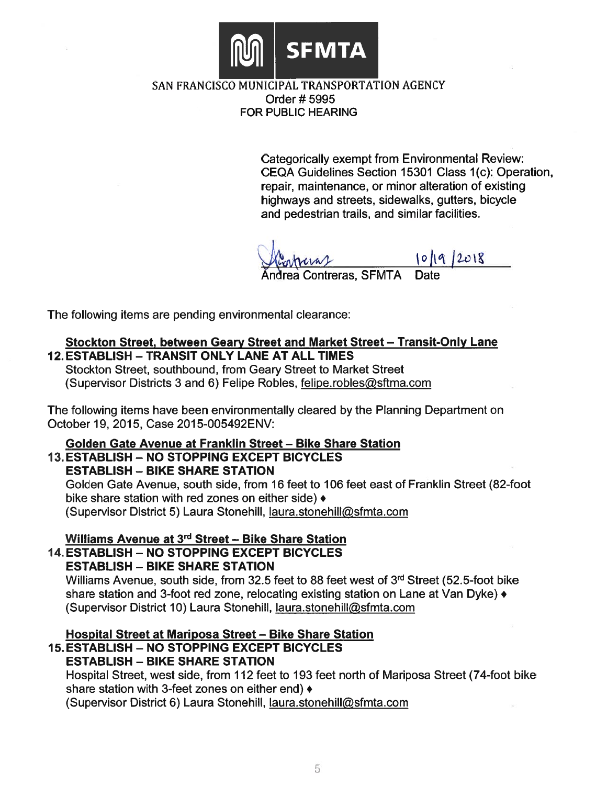

**Categorically exempt from Environmental Review:** CEQA Guidelines Section 15301 Class 1(c): Operation, repair, maintenance, or minor alteration of existing highways and streets, sidewalks, gutters, bicycle and pedestrian trails, and similar facilities.

10/19/2018 Contreras, SFMTA

The following items are pending environmental clearance:

# Stockton Street, between Geary Street and Market Street - Transit-Only Lane **12. ESTABLISH - TRANSIT ONLY LANE AT ALL TIMES**

Stockton Street, southbound, from Geary Street to Market Street (Supervisor Districts 3 and 6) Felipe Robles, felipe.robles@sftma.com

The following items have been environmentally cleared by the Planning Department on October 19, 2015, Case 2015-005492ENV:

#### Golden Gate Avenue at Franklin Street - Bike Share Station **13. ESTABLISH - NO STOPPING EXCEPT BICYCLES**

**ESTABLISH - BIKE SHARE STATION** 

Golden Gate Avenue, south side, from 16 feet to 106 feet east of Franklin Street (82-foot bike share station with red zones on either side)  $\triangleleft$ (Supervisor District 5) Laura Stonehill, laura.stonehill@sfmta.com

# Williams Avenue at 3rd Street - Bike Share Station

**14. ESTABLISH - NO STOPPING EXCEPT BICYCLES** 

**ESTABLISH - BIKE SHARE STATION** 

Williams Avenue, south side, from 32.5 feet to 88 feet west of 3rd Street (52.5-foot bike share station and 3-foot red zone, relocating existing station on Lane at Van Dyke)  $\triangleleft$ (Supervisor District 10) Laura Stonehill, laura.stonehill@sfmta.com

## Hospital Street at Mariposa Street - Bike Share Station

#### **15. ESTABLISH - NO STOPPING EXCEPT BICYCLES ESTABLISH - BIKE SHARE STATION**

Hospital Street, west side, from 112 feet to 193 feet north of Mariposa Street (74-foot bike share station with 3-feet zones on either end)  $\triangleleft$ 

(Supervisor District 6) Laura Stonehill, laura.stonehill@sfmta.com